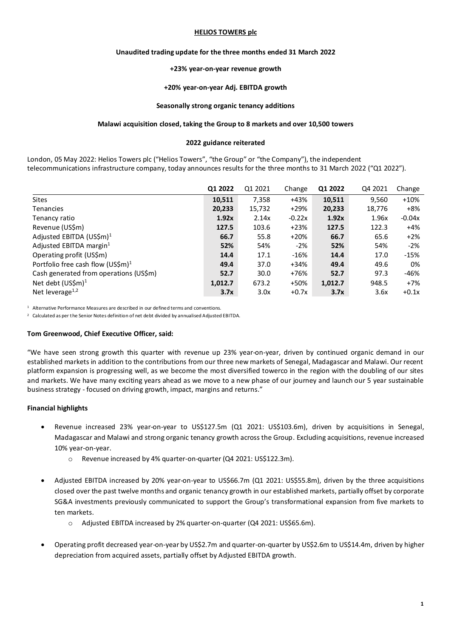#### **HELIOS TOWERS plc**

#### **Unaudited trading update for the three months ended 31 March 2022**

#### **+23% year-on-year revenue growth**

#### **+20% year-on-year Adj. EBITDA growth**

#### **Seasonally strong organic tenancy additions**

#### **Malawi acquisition closed, taking the Group to 8 markets and over 10,500 towers**

#### **2022 guidance reiterated**

London, 05 May 2022: Helios Towers plc ("Helios Towers", "the Group" or "the Company"), the independent telecommunications infrastructure company, today announces results for the three months to 31 March 2022 ("Q1 2022").

|                                               | Q1 2022 | Q1 2021 | Change   | Q1 2022 | Q4 2021 | Change   |
|-----------------------------------------------|---------|---------|----------|---------|---------|----------|
| <b>Sites</b>                                  | 10,511  | 7,358   | +43%     | 10,511  | 9,560   | $+10%$   |
| <b>Tenancies</b>                              | 20,233  | 15,732  | $+29%$   | 20,233  | 18,776  | $+8%$    |
| Tenancy ratio                                 | 1.92x   | 2.14x   | $-0.22x$ | 1.92x   | 1.96x   | $-0.04x$ |
| Revenue (US\$m)                               | 127.5   | 103.6   | $+23%$   | 127.5   | 122.3   | $+4%$    |
| Adjusted EBITDA $(US$m)^1$                    | 66.7    | 55.8    | $+20%$   | 66.7    | 65.6    | $+2%$    |
| Adjusted EBITDA margin $1$                    | 52%     | 54%     | $-2%$    | 52%     | 54%     | $-2%$    |
| Operating profit (US\$m)                      | 14.4    | 17.1    | $-16%$   | 14.4    | 17.0    | $-15%$   |
| Portfolio free cash flow (US\$m) <sup>1</sup> | 49.4    | 37.0    | $+34%$   | 49.4    | 49.6    | 0%       |
| Cash generated from operations (US\$m)        | 52.7    | 30.0    | +76%     | 52.7    | 97.3    | -46%     |
| Net debt (US\$m) <sup>1</sup>                 | 1,012.7 | 673.2   | +50%     | 1,012.7 | 948.5   | $+7%$    |
| Net leverage $^{1,2}$                         | 3.7x    | 3.0x    | $+0.7x$  | 3.7x    | 3.6x    | $+0.1x$  |

<sup>1</sup> Alternative Performance Measures are described in our defined terms and conventions.

<sup>2</sup> Calculated as per the Senior Notes definition of net debt divided by annualised Adjusted EBITDA.

#### **Tom Greenwood, Chief Executive Officer, said:**

"We have seen strong growth this quarter with revenue up 23% year-on-year, driven by continued organic demand in our established markets in addition to the contributions from our three new markets of Senegal, Madagascar and Malawi. Our recent platform expansion is progressing well, as we become the most diversified towerco in the region with the doubling of our sites and markets. We have many exciting years ahead as we move to a new phase of our journey and launch our 5 year sustainable business strategy - focused on driving growth, impact, margins and returns."

#### **Financial highlights**

- Revenue increased 23% year-on-year to US\$127.5m (Q1 2021: US\$103.6m), driven by acquisitions in Senegal, Madagascar and Malawi and strong organic tenancy growth across the Group. Excluding acquisitions, revenue increased 10% year-on-year.
	- o Revenue increased by 4% quarter-on-quarter (Q4 2021: US\$122.3m).
- Adjusted EBITDA increased by 20% year-on-year to US\$66.7m (Q1 2021: US\$55.8m), driven by the three acquisitions closed over the past twelve months and organic tenancy growth in our established markets, partially offset by corporate SG&A investments previously communicated to support the Group's transformational expansion from five markets to ten markets.
	- o Adjusted EBITDA increased by 2% quarter-on-quarter (Q4 2021: US\$65.6m).
- Operating profit decreased year-on-year by US\$2.7m and quarter-on-quarter by US\$2.6m to US\$14.4m, driven by higher depreciation from acquired assets, partially offset by Adjusted EBITDA growth.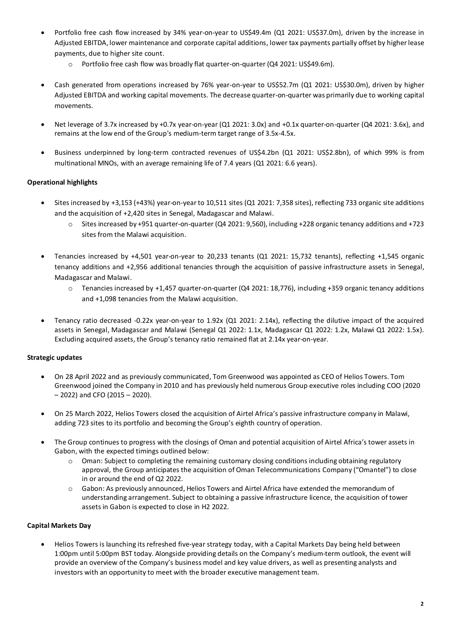- Portfolio free cash flow increased by 34% year-on-year to US\$49.4m (Q1 2021: US\$37.0m), driven by the increase in Adjusted EBITDA, lower maintenance and corporate capital additions, lower tax payments partially offset by higher lease payments, due to higher site count.
	- o Portfolio free cash flow was broadly flat quarter-on-quarter (Q4 2021: US\$49.6m).
- Cash generated from operations increased by 76% year-on-year to US\$52.7m (Q1 2021: US\$30.0m), driven by higher Adjusted EBITDA and working capital movements. The decrease quarter-on-quarter was primarily due to working capital movements.
- Net leverage of 3.7x increased by +0.7x year-on-year (Q1 2021: 3.0x) and +0.1x quarter-on-quarter (Q4 2021: 3.6x), and remains at the low end of the Group's medium-term target range of 3.5x-4.5x.
- Business underpinned by long-term contracted revenues of US\$4.2bn (Q1 2021: US\$2.8bn), of which 99% is from multinational MNOs, with an average remaining life of 7.4 years (Q1 2021: 6.6 years).

## **Operational highlights**

- Sites increased by +3,153 (+43%) year-on-year to 10,511 sites (Q1 2021: 7,358 sites), reflecting 733 organic site additions and the acquisition of +2,420 sites in Senegal, Madagascar and Malawi.
	- o Sites increased by +951 quarter-on-quarter (Q4 2021: 9,560), including +228 organic tenancy additions and +723 sites from the Malawi acquisition.
- Tenancies increased by +4,501 year-on-year to 20,233 tenants (Q1 2021: 15,732 tenants), reflecting +1,545 organic tenancy additions and +2,956 additional tenancies through the acquisition of passive infrastructure assets in Senegal, Madagascar and Malawi.
	- o Tenancies increased by +1,457 quarter-on-quarter (Q4 2021: 18,776), including +359 organic tenancy additions and +1,098 tenancies from the Malawi acquisition.
- Tenancy ratio decreased -0.22x year-on-year to 1.92x (Q1 2021: 2.14x), reflecting the dilutive impact of the acquired assets in Senegal, Madagascar and Malawi (Senegal Q1 2022: 1.1x, Madagascar Q1 2022: 1.2x, Malawi Q1 2022: 1.5x). Excluding acquired assets, the Group's tenancy ratio remained flat at 2.14x year-on-year.

## **Strategic updates**

- On 28 April 2022 and as previously communicated, Tom Greenwood was appointed as CEO of Helios Towers. Tom Greenwood joined the Company in 2010 and has previously held numerous Group executive roles including COO (2020 – 2022) and CFO (2015 – 2020).
- On 25 March 2022, Helios Towers closed the acquisition of Airtel Africa's passive infrastructure company in Malawi, adding 723 sites to its portfolio and becoming the Group's eighth country of operation.
- The Group continues to progress with the closings of Oman and potential acquisition of Airtel Africa's tower assets in Gabon, with the expected timings outlined below:
	- $\circ$  Oman: Subject to completing the remaining customary closing conditions including obtaining regulatory approval, the Group anticipates the acquisition of Oman Telecommunications Company ("Omantel") to close in or around the end of Q2 2022.
	- o Gabon: As previously announced, Helios Towers and Airtel Africa have extended the memorandum of understanding arrangement. Subject to obtaining a passive infrastructure licence, the acquisition of tower assets in Gabon is expected to close in H2 2022.

## **Capital Markets Day**

• Helios Towers is launching its refreshed five-year strategy today, with a Capital Markets Day being held between 1:00pm until 5:00pm BST today. Alongside providing details on the Company's medium-term outlook, the event will provide an overview of the Company's business model and key value drivers, as well as presenting analysts and investors with an opportunity to meet with the broader executive management team.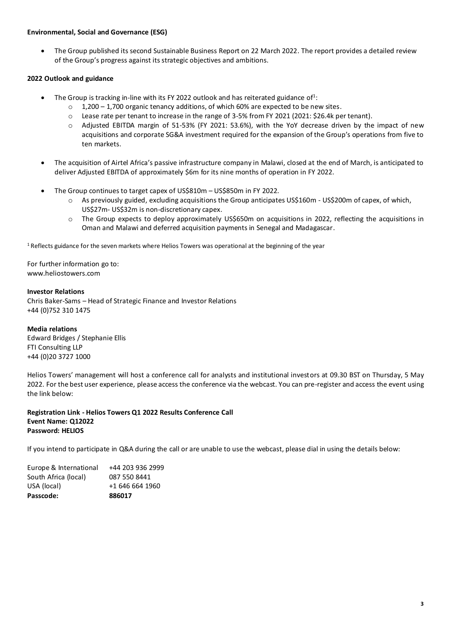#### **Environmental, Social and Governance (ESG)**

• The Group published its second Sustainable Business Report on 22 March 2022. The report provides a detailed review of the Group's progress against its strategic objectives and ambitions.

## **2022 Outlook and guidance**

- The Group is tracking in-line with its FY 2022 outlook and has reiterated guidance of<sup>1</sup>:
	- $\circ$  1,200 1,700 organic tenancy additions, of which 60% are expected to be new sites.
	- o Lease rate per tenant to increase in the range of 3-5% from FY 2021 (2021: \$26.4k per tenant).
	- o Adjusted EBITDA margin of 51-53% (FY 2021: 53.6%), with the YoY decrease driven by the impact of new acquisitions and corporate SG&A investment required for the expansion of the Group's operations from five to ten markets.
- The acquisition of Airtel Africa's passive infrastructure company in Malawi, closed at the end of March, is anticipated to deliver Adjusted EBITDA of approximately \$6m for its nine months of operation in FY 2022.
- The Group continues to target capex of US\$810m US\$850m in FY 2022.
	- o As previously guided, excluding acquisitions the Group anticipates US\$160m US\$200m of capex, of which, US\$27m- US\$32m is non-discretionary capex.
	- o The Group expects to deploy approximately US\$650m on acquisitions in 2022, reflecting the acquisitions in Oman and Malawi and deferred acquisition payments in Senegal and Madagascar.

 $1$  Reflects guidance for the seven markets where Helios Towers was operational at the beginning of the year

For further information go to: [www.heliostowers.com](http://www.heliostowers.com/)

#### **Investor Relations**

Chris Baker-Sams – Head of Strategic Finance and Investor Relations +44 (0)752 310 1475

#### **Media relations**

Edward Bridges / Stephanie Ellis FTI Consulting LLP +44 (0)20 3727 1000

Helios Towers' management will host a conference call for analysts and institutional investors at 09.30 BST on Thursday, 5 May 2022. For the best user experience, please access the conference via the webcast. You can pre-register and access the event using the link below:

#### **Registration Link - [Helios Towers Q1 2022 Results Conference Call](https://www.investis-live.com/heliostowers/624585b274656612001f6b2d/helios-towers-q1-2022-results) Event Name: Q12022 Password: HELIOS**

If you intend to participate in Q&A during the call or are unable to use the webcast, please dial in using the details below:

| Europe & International | +44 203 936 2999 |
|------------------------|------------------|
| South Africa (local)   | 087 550 8441     |
| USA (local)            | +1 646 664 1960  |
| Passcode:              | 886017           |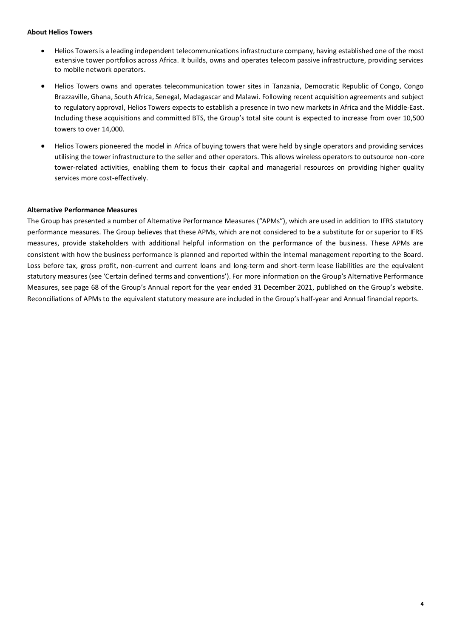#### **About Helios Towers**

- Helios Towers is a leading independent telecommunications infrastructure company, having established one of the most extensive tower portfolios across Africa. It builds, owns and operates telecom passive infrastructure, providing services to mobile network operators.
- Helios Towers owns and operates telecommunication tower sites in Tanzania, Democratic Republic of Congo, Congo Brazzaville, Ghana, South Africa, Senegal, Madagascar and Malawi. Following recent acquisition agreements and subject to regulatory approval, Helios Towers expects to establish a presence in two new markets in Africa and the Middle-East. Including these acquisitions and committed BTS, the Group's total site count is expected to increase from over 10,500 towers to over 14,000.
- Helios Towers pioneered the model in Africa of buying towers that were held by single operators and providing services utilising the tower infrastructure to the seller and other operators. This allows wireless operators to outsource non-core tower-related activities, enabling them to focus their capital and managerial resources on providing higher quality services more cost-effectively.

#### **Alternative Performance Measures**

The Group has presented a number of Alternative Performance Measures ("APMs"), which are used in addition to IFRS statutory performance measures. The Group believes that these APMs, which are not considered to be a substitute for or superior to IFRS measures, provide stakeholders with additional helpful information on the performance of the business. These APMs are consistent with how the business performance is planned and reported within the internal management reporting to the Board. Loss before tax, gross profit, non-current and current loans and long-term and short-term lease liabilities are the equivalent statutory measures (see 'Certain defined terms and conventions'). For more information on the Group's Alternative Performance Measures, see page 68 of the Group's Annual report for the year ended 31 December 2021, published on the Group's website. Reconciliations of APMs to the equivalent statutory measure are included in the Group's half-year and Annual financial reports.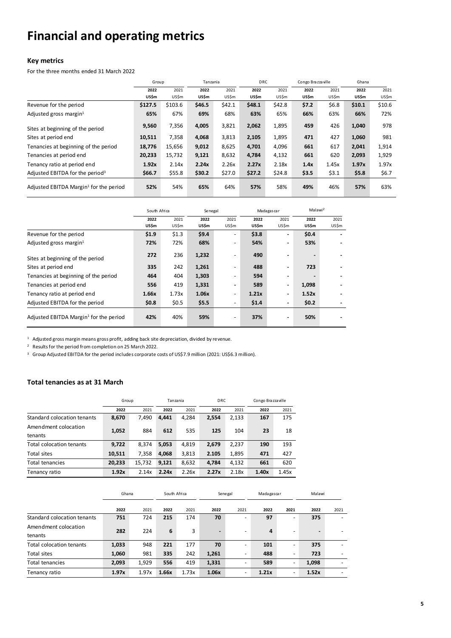# **Financial and operating metrics**

#### **Key metrics**

For the three months ended 31 March 2022

|                                             | Group   |         | Tanzania |        | <b>DRC</b> |        | Congo Brazzaville |         | Ghana  |        |
|---------------------------------------------|---------|---------|----------|--------|------------|--------|-------------------|---------|--------|--------|
|                                             | 2022    | 2021    | 2022     | 2021   | 2022       | 2021   | 2022              | 2021    | 2022   | 2021   |
|                                             | US\$m   | US\$m   | US\$m    | US\$m  | US\$m      | US\$m  | US\$m             | US\$m   | US\$m  | US\$m  |
| Revenue for the period                      | \$127.5 | \$103.6 | \$46.5   | \$42.1 | \$48.1     | \$42.8 | \$7.2             | \$6.8\$ | \$10.1 | \$10.6 |
| Adjusted gross margin <sup>1</sup>          | 65%     | 67%     | 69%      | 68%    | 63%        | 65%    | 66%               | 63%     | 66%    | 72%    |
| Sites at beginning of the period            | 9,560   | 7,356   | 4,005    | 3,821  | 2,062      | 1,895  | 459               | 426     | 1,040  | 978    |
| Sites at period end                         | 10,511  | 7,358   | 4,068    | 3,813  | 2,105      | 1,895  | 471               | 427     | 1,060  | 981    |
| Tenancies at beginning of the period        | 18,776  | 15,656  | 9,012    | 8,625  | 4,701      | 4,096  | 661               | 617     | 2,041  | 1,914  |
| Tenancies at period end                     | 20,233  | 15,732  | 9,121    | 8,632  | 4,784      | 4,132  | 661               | 620     | 2,093  | 1,929  |
| Tenancy ratio at period end                 | 1.92x   | 2.14x   | 2.24x    | 2.26x  | 2.27x      | 2.18x  | 1.4x              | 1.45x   | 1.97x  | 1.97x  |
| Adjusted EBITDA for the period <sup>3</sup> | \$66.7  | \$55.8  | \$30.2   | \$27.0 | \$27.2     | \$24.8 | \$3.5             | \$3.1   | \$5.8  | \$6.7  |
| Adjusted EBITDA Margin $1$ for the period   | 52%     | 54%     | 65%      | 64%    | 57%        | 58%    | 49%               | 46%     | 57%    | 63%    |

|                                           | South Africa |       | Senegal |                          | Madagascar |                | Malawi <sup>2</sup> |       |
|-------------------------------------------|--------------|-------|---------|--------------------------|------------|----------------|---------------------|-------|
|                                           | 2022         | 2021  | 2022    | 2021                     | 2022       | 2021           | 2022                | 2021  |
|                                           | US\$m        | US\$m | US\$m   | US\$m                    | US\$m      | US\$m          | US\$m               | US\$m |
| Revenue for the period                    | \$1.9        | \$1.3 | \$9.4   |                          | \$3.8      |                | \$0.4               |       |
| Adjusted gross margin $1$                 | 72%          | 72%   | 68%     | $\overline{\phantom{0}}$ | 54%        | $\sim$         | 53%                 |       |
| Sites at beginning of the period          | 272          | 236   | 1,232   |                          | 490        |                |                     |       |
| Sites at period end                       | 335          | 242   | 1,261   | $\overline{\phantom{0}}$ | 488        | $\blacksquare$ | 723                 |       |
| Tenancies at beginning of the period      | 464          | 404   | 1,303   | -                        | 594        | $\blacksquare$ |                     |       |
| Tenancies at period end                   | 556          | 419   | 1,331   | $\blacksquare$           | 589        | $\blacksquare$ | 1,098               |       |
| Tenancy ratio at period end               | 1.66x        | 1.73x | 1.06x   | $\overline{\phantom{a}}$ | 1.21x      | $\blacksquare$ | 1.52x               |       |
| Adjusted EBITDA for the period            | \$0.8\$      | \$0.5 | \$5.5   | $\overline{\phantom{a}}$ | \$1.4      | $\blacksquare$ | \$0.2               |       |
| Adjusted EBITDA Margin $1$ for the period | 42%          | 40%   | 59%     |                          | 37%        |                | 50%                 |       |

 $^1$  Adjusted gross margin means gross profit, adding back site depreciation, divided by revenue.

<sup>2</sup> Results for the period from completion on 25 March 2022.

<sup>3</sup> Group Adjusted EBITDA for the period includes corporate costs of US\$7.9 million (2021: US\$6.3 million).

#### **Total tenancies as at 31 March**

|                             | Group  |        | Tanzania |       | <b>DRC</b> |       | Congo Brazzaville |       |
|-----------------------------|--------|--------|----------|-------|------------|-------|-------------------|-------|
|                             | 2022   | 2021   | 2022     | 2021  | 2022       | 2021  | 2022              | 2021  |
| Standard colocation tenants | 8,670  | 7,490  | 4.441    | 4.284 | 2,554      | 2,133 | 167               | 175   |
| Amendment colocation        |        | 884    |          | 535   | 125        | 104   | 23                |       |
| tenants                     | 1,052  |        | 612      |       |            |       |                   | 18    |
| Total colocation tenants    | 9,722  | 8.374  | 5.053    | 4.819 | 2,679      | 2,237 | 190               | 193   |
| Total sites                 | 10,511 | 7.358  | 4,068    | 3,813 | 2.105      | 1,895 | 471               | 427   |
| <b>Total tenancies</b>      | 20,233 | 15,732 | 9,121    | 8,632 | 4,784      | 4,132 | 661               | 620   |
| Tenancy ratio               | 1.92x  | 2.14x  | 2.24x    | 2.26x | 2.27x      | 2.18x | 1.40x             | 1.45x |

|                             | Ghana |       | South Africa |       | Senegal |      | Madagasca r |                          | Malawi                   |                          |
|-----------------------------|-------|-------|--------------|-------|---------|------|-------------|--------------------------|--------------------------|--------------------------|
|                             | 2022  | 2021  | 2022         | 2021  | 2022    | 2021 | 2022        | 2021                     | 2022                     | 2021                     |
| Standard colocation tenants | 751   | 724   | 215          | 174   | 70      | -    | 97          | $\overline{\phantom{a}}$ | 375                      | $\overline{\phantom{0}}$ |
| Amendment colocation        | 282   | 224   | 6            | 3     | -       | -    | 4           | $\overline{\phantom{0}}$ | $\overline{\phantom{0}}$ |                          |
| tenants                     |       |       |              |       |         |      |             |                          |                          | -                        |
| Total colocation tenants    | 1,033 | 948   | 221          | 177   | 70      | -    | 101         | ۰                        | 375                      | ٠                        |
| Total sites                 | 1,060 | 981   | 335          | 242   | 1,261   | -    | 488         | -                        | 723                      |                          |
| Total tenancies             | 2,093 | 1.929 | 556          | 419   | 1,331   | -    | 589         | ٠                        | 1,098                    |                          |
| Tenancy ratio               | 1.97x | 1.97x | 1.66x        | 1.73x | 1.06x   | -    | 1.21x       | $\overline{\phantom{0}}$ | 1.52x                    | -                        |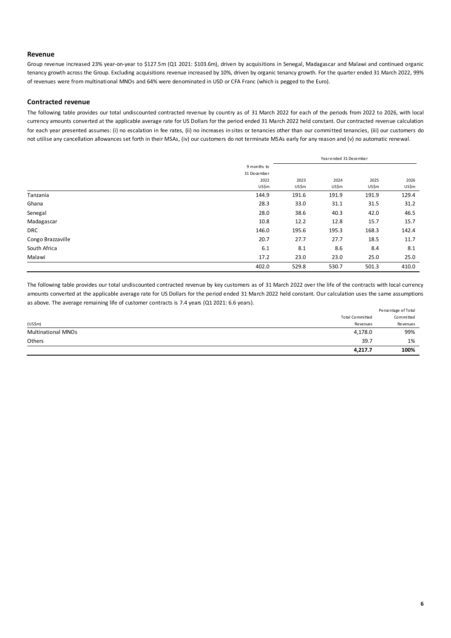#### **Revenue**

Group revenue increased 23% year-on-year to \$127.5m (Q1 2021: \$103.6m), driven by acquisitions in Senegal, Madagascar and Malawi and continued organic tenancy growth across the Group. Excluding acquisitions revenue increased by 10%, driven by organic tenancy growth. For the quarter ended 31 March 2022, 99% of revenues were from multinational MNOs and 64% were denominated in USD or CFA Franc (which is pegged to the Euro).

#### **Contracted revenue**

The following table provides our total undiscounted contracted revenue by country as of 31 March 2022 for each of the periods from 2022 to 2026, with local currency amounts converted at the applicable average rate for US Dollars for the period ended 31 March 2022 held constant. Our contracted revenue calculation for each year presented assumes: (i) no escalation in fee rates, (ii) no increases in sites or tenancies other than our committed tenancies, (iii) our customers do not utilise any cancellation allowances set forth in their MSAs, (iv) our customers do not terminate MSAs early for any reason and (v) no automatic renewal.

|                   |             | Yearended 31 December |       |       |       |  |  |
|-------------------|-------------|-----------------------|-------|-------|-------|--|--|
|                   | 9 months to |                       |       |       |       |  |  |
|                   | 31 December |                       |       |       |       |  |  |
|                   | 2022        | 2023                  | 2024  | 2025  | 2026  |  |  |
|                   | US\$m       | US\$m                 | US\$m | US\$m | US\$m |  |  |
| Tanzania          | 144.9       | 191.6                 | 191.9 | 191.9 | 129.4 |  |  |
| Ghana             | 28.3        | 33.0                  | 31.1  | 31.5  | 31.2  |  |  |
| Senegal           | 28.0        | 38.6                  | 40.3  | 42.0  | 46.5  |  |  |
| Madagascar        | 10.8        | 12.2                  | 12.8  | 15.7  | 15.7  |  |  |
| <b>DRC</b>        | 146.0       | 195.6                 | 195.3 | 168.3 | 142.4 |  |  |
| Congo Brazzaville | 20.7        | 27.7                  | 27.7  | 18.5  | 11.7  |  |  |
| South Africa      | 6.1         | 8.1                   | 8.6   | 8.4   | 8.1   |  |  |
| Malawi            | 17.2        | 23.0                  | 23.0  | 25.0  | 25.0  |  |  |
|                   | 402.0       | 529.8                 | 530.7 | 501.3 | 410.0 |  |  |

The following table provides our total undiscounted contracted revenue by key customers as of 31 March 2022 over the life of the contracts with local currency amounts converted at the applicable average rate for US Dollars for the period ended 31 March 2022 held constant. Our calculation uses the same assumptions as above. The average remaining life of customer contracts is 7.4 years (Q1 2021: 6.6 years).

|                           |                 | Percentage of Total |
|---------------------------|-----------------|---------------------|
|                           | Total Committed | Committed           |
| $(US\$ m $)$              | Revenues        | <b>Revenues</b>     |
| <b>Multinational MNOs</b> | 4,178.0         | 99%                 |
| Others                    | 39.7            | 1%                  |
|                           | 4,217.7         | 100%                |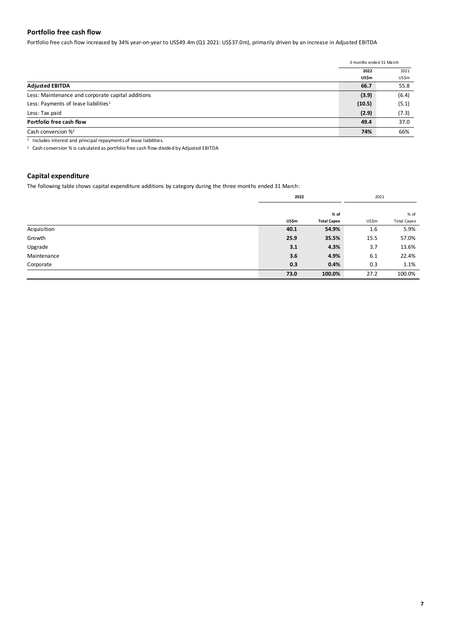#### **Portfolio free cash flow**

Portfolio free cash flow increased by 34% year-on-year to US\$49.4m (Q1 2021: US\$37.0m), primarily driven by an increase in Adjusted EBITDA

|                                                   | 3 months ended 31 March |       |
|---------------------------------------------------|-------------------------|-------|
|                                                   | 2022                    | 2021  |
|                                                   | US\$m                   | US\$m |
| <b>Adjusted EBITDA</b>                            | 66.7                    | 55.8  |
| Less: Maintenance and corporate capital additions | (3.9)                   | (6.4) |
| Less: Payments of lease liabilities <sup>1</sup>  | (10.5)                  | (5.1) |
| Less: Tax paid                                    | (2.9)                   | (7.3) |
| Portfolio free cash flow                          | 49.4                    | 37.0  |
| Cash conversion $\frac{1}{2}$                     | 74%                     | 66%   |
|                                                   |                         |       |

1 Includes interest and principal repayments of lease liabilities.

<sup>2</sup> Cash conversion % is calculated as portfolio free cash flow divided by Adjusted EBITDA

#### **Capital expenditure**

The following table shows capital expenditure additions by category during the three months ended 31 March:

|             | 2022  |                    | 2021  |                    |
|-------------|-------|--------------------|-------|--------------------|
|             |       | % of               |       | % of               |
|             | US\$m | <b>Total Capex</b> | US\$m | <b>Total Capex</b> |
| Acquisition | 40.1  | 54.9%              | 1.6   | 5.9%               |
| Growth      | 25.9  | 35.5%              | 15.5  | 57.0%              |
| Upgrade     | 3.1   | 4.3%               | 3.7   | 13.6%              |
| Maintenance | 3.6   | 4.9%               | 6.1   | 22.4%              |
| Corporate   | 0.3   | 0.4%               | 0.3   | 1.1%               |
|             | 73.0  | 100.0%             | 27.2  | 100.0%             |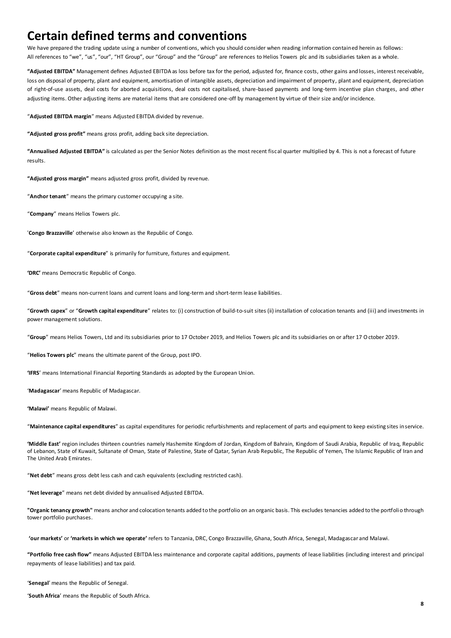## **Certain defined terms and conventions**

We have prepared the trading update using a number of conventions, which you should consider when reading information contained herein as follows: All references to "we", "us", "our", "HT Group", our "Group" and the "Group" are references to Helios Towers plc and its subsidiaries taken as a whole.

**"Adjusted EBITDA"** Management defines Adjusted EBITDA as loss before tax for the period, adjusted for, finance costs, other gains and losses, interest receivable, loss on disposal of property, plant and equipment, amortisation of intangible assets, depreciation and impairment of property, plant and equipment, depreciation of right-of-use assets, deal costs for aborted acquisitions, deal costs not capitalised, share-based payments and long-term incentive plan charges, and other adjusting items. Other adjusting items are material items that are considered one-off by management by virtue of their size and/or incidence.

"**Adjusted EBITDA margin**" means Adjusted EBITDA divided by revenue.

**"Adjusted gross profit"** means gross profit, adding back site depreciation.

**"Annualised Adjusted EBITDA"** is calculated as per the Senior Notes definition as the most recent fiscal quarter multiplied by 4. This is not a forecast of future results.

**"Adjusted gross margin"** means adjusted gross profit, divided by revenue.

"**Anchor tenant**" means the primary customer occupying a site.

"**Company**" means Helios Towers plc.

'**Congo Brazzaville**' otherwise also known as the Republic of Congo.

"**Corporate capital expenditure**" is primarily for furniture, fixtures and equipment.

**'DRC'** means Democratic Republic of Congo.

"**Gross debt**" means non-current loans and current loans and long-term and short-term lease liabilities.

"**Growth capex**" or "**Growth capital expenditure**" relates to: (i) construction of build-to-suit sites (ii) installation of colocation tenants and (iii) and investments in power management solutions.

"**Group**" means Helios Towers, Ltd and its subsidiaries prior to 17 October 2019, and Helios Towers plc and its subsidiaries on or after 17 October 2019.

"**Helios Towers plc**" means the ultimate parent of the Group, post IPO.

**'IFRS**' means International Financial Reporting Standards as adopted by the European Union.

'**Madagascar**' means Republic of Madagascar.

**'Malawi'** means Republic of Malawi.

"**Maintenance capital expenditures**" as capital expenditures for periodic refurbishments and replacement of parts and equipment to keep existing sites in service.

**'Middle East'** region includes thirteen countries namely Hashemite Kingdom of Jordan, Kingdom of Bahrain, Kingdom of Saudi Arabia, Republic of Iraq, Republic of Lebanon, State of Kuwait, Sultanate of Oman, State of Palestine, State of Qatar, Syrian Arab Republic, The Republic of Yemen, The Islamic Republic of Iran and The United Arab Emirates.

"**Net debt**" means gross debt less cash and cash equivalents (excluding restricted cash).

"**Net leverage**" means net debt divided by annualised Adjusted EBITDA.

**"Organic tenancy growth"** means anchor and colocation tenants added to the portfolio on an organic basis. This excludes tenancies added to the portfolio through tower portfolio purchases.

**'our markets'** or **'markets in which we operate'** refers to Tanzania, DRC, Congo Brazzaville, Ghana, South Africa, Senegal, Madagascar and Malawi.

**"Portfolio free cash flow"** means Adjusted EBITDA less maintenance and corporate capital additions, payments of lease liabilities (including interest and principal repayments of lease liabilities) and tax paid.

'**Senegal**' means the Republic of Senegal.

'**South Africa**' means the Republic of South Africa.